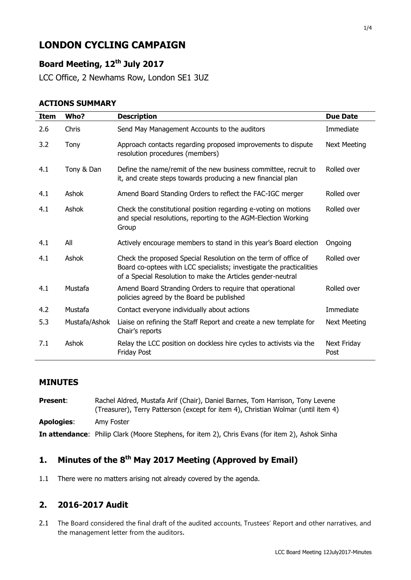# **LONDON CYCLING CAMPAIGN**

## **Board Meeting, 12th July 2017**

LCC Office, 2 Newhams Row, London SE1 3UZ

#### **ACTIONS SUMMARY**

| Item | Who?          | <b>Description</b>                                                                                                                                                                                    | <b>Due Date</b>     |
|------|---------------|-------------------------------------------------------------------------------------------------------------------------------------------------------------------------------------------------------|---------------------|
| 2.6  | Chris         | Send May Management Accounts to the auditors                                                                                                                                                          | Immediate           |
| 3.2  | Tony          | Approach contacts regarding proposed improvements to dispute<br>resolution procedures (members)                                                                                                       | <b>Next Meeting</b> |
| 4.1  | Tony & Dan    | Define the name/remit of the new business committee, recruit to<br>it, and create steps towards producing a new financial plan                                                                        | Rolled over         |
| 4.1  | Ashok         | Amend Board Standing Orders to reflect the FAC-IGC merger                                                                                                                                             | Rolled over         |
| 4.1  | Ashok         | Check the constitutional position regarding e-voting on motions<br>and special resolutions, reporting to the AGM-Election Working<br>Group                                                            | Rolled over         |
| 4.1  | All           | Actively encourage members to stand in this year's Board election                                                                                                                                     | Ongoing             |
| 4.1  | Ashok         | Check the proposed Special Resolution on the term of office of<br>Board co-optees with LCC specialists; investigate the practicalities<br>of a Special Resolution to make the Articles gender-neutral | Rolled over         |
| 4.1  | Mustafa       | Amend Board Stranding Orders to require that operational<br>policies agreed by the Board be published                                                                                                 | Rolled over         |
| 4.2  | Mustafa       | Contact everyone individually about actions                                                                                                                                                           | Immediate           |
| 5.3  | Mustafa/Ashok | Liaise on refining the Staff Report and create a new template for<br>Chair's reports                                                                                                                  | <b>Next Meeting</b> |
| 7.1  | Ashok         | Relay the LCC position on dockless hire cycles to activists via the<br>Friday Post                                                                                                                    | Next Friday<br>Post |

#### **MINUTES**

Present: Rachel Aldred, Mustafa Arif (Chair), Daniel Barnes, Tom Harrison, Tony Levene (Treasurer), Terry Patterson (except for item 4), Christian Wolmar (until item 4) **Apologies**: Amy Foster **In attendance**: Philip Clark (Moore Stephens, for item 2), Chris Evans (for item 2), Ashok Sinha

## **1. Minutes of the 8 th May 2017 Meeting (Approved by Email)**

1.1 There were no matters arising not already covered by the agenda.

#### **2. 2016-2017 Audit**

2.1 The Board considered the final draft of the audited accounts, Trustees' Report and other narratives, and the management letter from the auditors.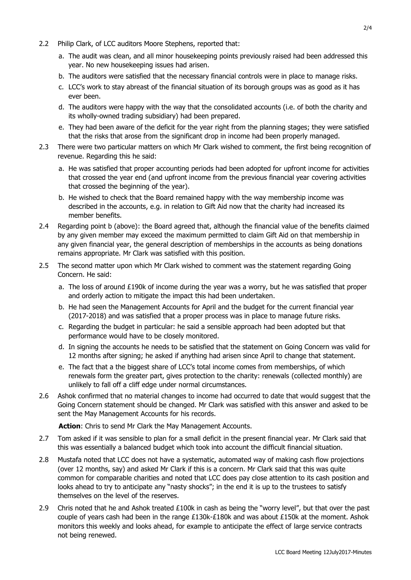- 2.2 Philip Clark, of LCC auditors Moore Stephens, reported that:
	- a. The audit was clean, and all minor housekeeping points previously raised had been addressed this year. No new housekeeping issues had arisen.
	- b. The auditors were satisfied that the necessary financial controls were in place to manage risks.
	- c. LCC's work to stay abreast of the financial situation of its borough groups was as good as it has ever been.
	- d. The auditors were happy with the way that the consolidated accounts (i.e. of both the charity and its wholly-owned trading subsidiary) had been prepared.
	- e. They had been aware of the deficit for the year right from the planning stages; they were satisfied that the risks that arose from the significant drop in income had been properly managed.
- 2.3 There were two particular matters on which Mr Clark wished to comment, the first being recognition of revenue. Regarding this he said:
	- a. He was satisfied that proper accounting periods had been adopted for upfront income for activities that crossed the year end (and upfront income from the previous financial year covering activities that crossed the beginning of the year).
	- b. He wished to check that the Board remained happy with the way membership income was described in the accounts, e.g. in relation to Gift Aid now that the charity had increased its member benefits.
- 2.4 Regarding point b (above): the Board agreed that, although the financial value of the benefits claimed by any given member may exceed the maximum permitted to claim Gift Aid on that membership in any given financial year, the general description of memberships in the accounts as being donations remains appropriate. Mr Clark was satisfied with this position.
- 2.5 The second matter upon which Mr Clark wished to comment was the statement regarding Going Concern. He said:
	- a. The loss of around £190k of income during the year was a worry, but he was satisfied that proper and orderly action to mitigate the impact this had been undertaken.
	- b. He had seen the Management Accounts for April and the budget for the current financial year (2017-2018) and was satisfied that a proper process was in place to manage future risks.
	- c. Regarding the budget in particular: he said a sensible approach had been adopted but that performance would have to be closely monitored.
	- d. In signing the accounts he needs to be satisfied that the statement on Going Concern was valid for 12 months after signing; he asked if anything had arisen since April to change that statement.
	- e. The fact that a the biggest share of LCC's total income comes from memberships, of which renewals form the greater part, gives protection to the charity: renewals (collected monthly) are unlikely to fall off a cliff edge under normal circumstances.
- 2.6 Ashok confirmed that no material changes to income had occurred to date that would suggest that the Going Concern statement should be changed. Mr Clark was satisfied with this answer and asked to be sent the May Management Accounts for his records.

**Action**: Chris to send Mr Clark the May Management Accounts.

- 2.7 Tom asked if it was sensible to plan for a small deficit in the present financial year. Mr Clark said that this was essentially a balanced budget which took into account the difficult financial situation.
- 2.8 Mustafa noted that LCC does not have a systematic, automated way of making cash flow projections (over 12 months, say) and asked Mr Clark if this is a concern. Mr Clark said that this was quite common for comparable charities and noted that LCC does pay close attention to its cash position and looks ahead to try to anticipate any "nasty shocks"; in the end it is up to the trustees to satisfy themselves on the level of the reserves.
- 2.9 Chris noted that he and Ashok treated  $£100k$  in cash as being the "worry level", but that over the past couple of years cash had been in the range £130k-£180k and was about £150k at the moment. Ashok monitors this weekly and looks ahead, for example to anticipate the effect of large service contracts not being renewed.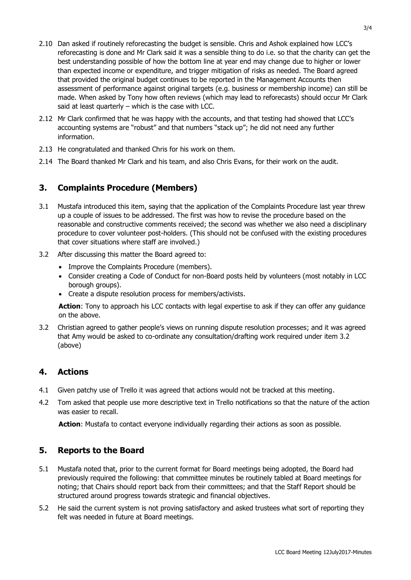- 2.10 Dan asked if routinely reforecasting the budget is sensible. Chris and Ashok explained how LCC's reforecasting is done and Mr Clark said it was a sensible thing to do i.e. so that the charity can get the best understanding possible of how the bottom line at year end may change due to higher or lower than expected income or expenditure, and trigger mitigation of risks as needed. The Board agreed that provided the original budget continues to be reported in the Management Accounts then assessment of performance against original targets (e.g. business or membership income) can still be made. When asked by Tony how often reviews (which may lead to reforecasts) should occur Mr Clark said at least quarterly – which is the case with LCC.
- 2.12 Mr Clark confirmed that he was happy with the accounts, and that testing had showed that LCC's accounting systems are "robust" and that numbers "stack up"; he did not need any further information.
- 2.13 He congratulated and thanked Chris for his work on them.
- 2.14 The Board thanked Mr Clark and his team, and also Chris Evans, for their work on the audit.

#### **3. Complaints Procedure (Members)**

- 3.1 Mustafa introduced this item, saying that the application of the Complaints Procedure last year threw up a couple of issues to be addressed. The first was how to revise the procedure based on the reasonable and constructive comments received; the second was whether we also need a disciplinary procedure to cover volunteer post-holders. (This should not be confused with the existing procedures that cover situations where staff are involved.)
- 3.2 After discussing this matter the Board agreed to:
	- Improve the Complaints Procedure (members).
	- Consider creating a Code of Conduct for non-Board posts held by volunteers (most notably in LCC borough groups).
	- Create a dispute resolution process for members/activists.

**Action**: Tony to approach his LCC contacts with legal expertise to ask if they can offer any guidance on the above.

3.2 Christian agreed to gather people's views on running dispute resolution processes; and it was agreed that Amy would be asked to co-ordinate any consultation/drafting work required under item 3.2 (above)

#### **4. Actions**

- 4.1 Given patchy use of Trello it was agreed that actions would not be tracked at this meeting.
- 4.2 Tom asked that people use more descriptive text in Trello notifications so that the nature of the action was easier to recall.

**Action**: Mustafa to contact everyone individually regarding their actions as soon as possible.

#### **5. Reports to the Board**

- 5.1 Mustafa noted that, prior to the current format for Board meetings being adopted, the Board had previously required the following: that committee minutes be routinely tabled at Board meetings for noting; that Chairs should report back from their committees; and that the Staff Report should be structured around progress towards strategic and financial objectives.
- 5.2 He said the current system is not proving satisfactory and asked trustees what sort of reporting they felt was needed in future at Board meetings.